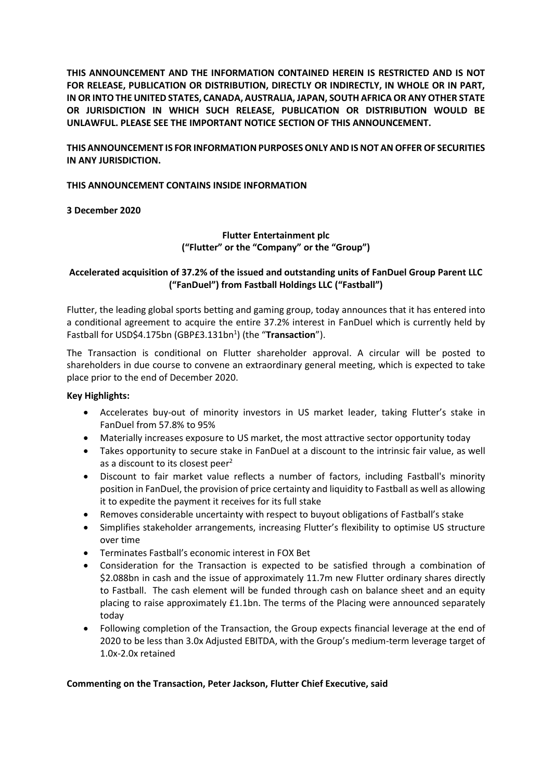**THIS ANNOUNCEMENT AND THE INFORMATION CONTAINED HEREIN IS RESTRICTED AND IS NOT FOR RELEASE, PUBLICATION OR DISTRIBUTION, DIRECTLY OR INDIRECTLY, IN WHOLE OR IN PART, IN OR INTO THE UNITED STATES, CANADA, AUSTRALIA, JAPAN, SOUTH AFRICA OR ANY OTHER STATE OR JURISDICTION IN WHICH SUCH RELEASE, PUBLICATION OR DISTRIBUTION WOULD BE UNLAWFUL. PLEASE SEE THE IMPORTANT NOTICE SECTION OF THIS ANNOUNCEMENT.**

# **THIS ANNOUNCEMENT IS FOR INFORMATION PURPOSES ONLY AND IS NOT AN OFFER OF SECURITIES IN ANY JURISDICTION.**

### **THIS ANNOUNCEMENT CONTAINS INSIDE INFORMATION**

**3 December 2020**

# **Flutter Entertainment plc ("Flutter" or the "Company" or the "Group")**

### **Accelerated acquisition of 37.2% of the issued and outstanding units of FanDuel Group Parent LLC ("FanDuel") from Fastball Holdings LLC ("Fastball")**

Flutter, the leading global sports betting and gaming group, today announces that it has entered into a conditional agreement to acquire the entire 37.2% interest in FanDuel which is currently held by Fastball for USD\$4.175bn (GBP£3.131bn<sup>1</sup>) (the "Transaction").

The Transaction is conditional on Flutter shareholder approval. A circular will be posted to shareholders in due course to convene an extraordinary general meeting, which is expected to take place prior to the end of December 2020.

# **Key Highlights:**

- Accelerates buy-out of minority investors in US market leader, taking Flutter's stake in FanDuel from 57.8% to 95%
- Materially increases exposure to US market, the most attractive sector opportunity today
- Takes opportunity to secure stake in FanDuel at a discount to the intrinsic fair value, as well as a discount to its closest peer<sup>2</sup>
- Discount to fair market value reflects a number of factors, including Fastball's minority position in FanDuel, the provision of price certainty and liquidity to Fastball as well as allowing it to expedite the payment it receives for its full stake
- Removes considerable uncertainty with respect to buyout obligations of Fastball's stake
- Simplifies stakeholder arrangements, increasing Flutter's flexibility to optimise US structure over time
- Terminates Fastball's economic interest in FOX Bet
- Consideration for the Transaction is expected to be satisfied through a combination of \$2.088bn in cash and the issue of approximately 11.7m new Flutter ordinary shares directly to Fastball. The cash element will be funded through cash on balance sheet and an equity placing to raise approximately £1.1bn. The terms of the Placing were announced separately today
- Following completion of the Transaction, the Group expects financial leverage at the end of 2020 to be less than 3.0x Adjusted EBITDA, with the Group's medium-term leverage target of 1.0x-2.0x retained

### **Commenting on the Transaction, Peter Jackson, Flutter Chief Executive, said**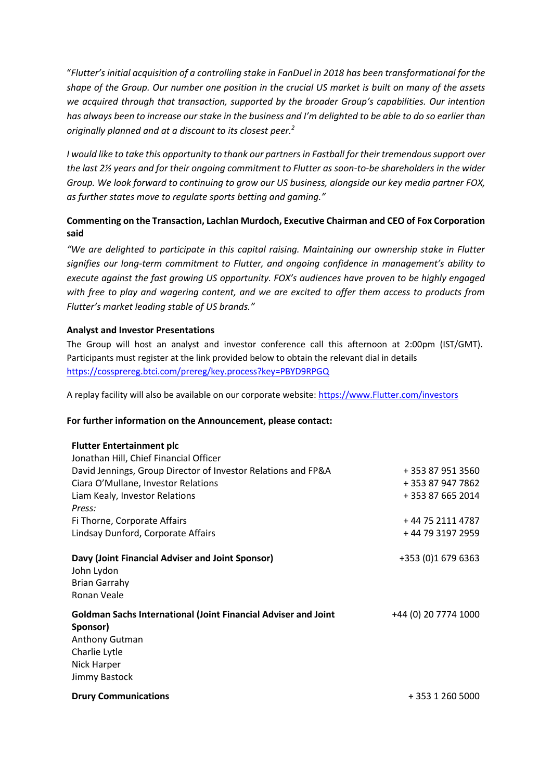"*Flutter's initial acquisition of a controlling stake in FanDuel in 2018 has been transformational for the shape of the Group. Our number one position in the crucial US market is built on many of the assets we acquired through that transaction, supported by the broader Group's capabilities. Our intention has always been to increase our stake in the business and I'm delighted to be able to do so earlier than originally planned and at a discount to its closest peer. 2*

*I would like to take this opportunity to thank our partners in Fastball for their tremendous support over the last 2½ years and for their ongoing commitment to Flutter as soon-to-be shareholders in the wider Group. We look forward to continuing to grow our US business, alongside our key media partner FOX, as further states move to regulate sports betting and gaming."*

# **Commenting on the Transaction, Lachlan Murdoch, Executive Chairman and CEO of Fox Corporation said**

*"We are delighted to participate in this capital raising. Maintaining our ownership stake in Flutter signifies our long-term commitment to Flutter, and ongoing confidence in management's ability to execute against the fast growing US opportunity. FOX's audiences have proven to be highly engaged with free to play and wagering content, and we are excited to offer them access to products from Flutter's market leading stable of US brands."*

### **Analyst and Investor Presentations**

The Group will host an analyst and investor conference call this afternoon at 2:00pm (IST/GMT). Participants must register at the link provided below to obtain the relevant dial in details <https://cossprereg.btci.com/prereg/key.process?key=PBYD9RPGQ>

A replay facility will also be available on our corporate website[: https://www.Flutter.com/investors](https://www.flutter.com/investors)

### **For further information on the Announcement, please contact:**

#### **Flutter Entertainment plc**

| Jonathan Hill, Chief Financial Officer                                            |                      |
|-----------------------------------------------------------------------------------|----------------------|
| David Jennings, Group Director of Investor Relations and FP&A                     | + 353 87 951 3560    |
| Ciara O'Mullane, Investor Relations                                               | + 353 87 947 7862    |
| Liam Kealy, Investor Relations                                                    | +353876652014        |
| Press:                                                                            |                      |
| Fi Thorne, Corporate Affairs                                                      | +44 75 2111 4787     |
| Lindsay Dunford, Corporate Affairs                                                | + 44 79 3197 2959    |
| Davy (Joint Financial Adviser and Joint Sponsor)<br>John Lydon                    | +353 (0)1 679 6363   |
| <b>Brian Garrahy</b>                                                              |                      |
| Ronan Veale                                                                       |                      |
| <b>Goldman Sachs International (Joint Financial Adviser and Joint</b><br>Sponsor) | +44 (0) 20 7774 1000 |
| Anthony Gutman                                                                    |                      |
| Charlie Lytle                                                                     |                      |
| Nick Harper                                                                       |                      |
| Jimmy Bastock                                                                     |                      |
| <b>Drury Communications</b>                                                       | + 353 1 260 5000     |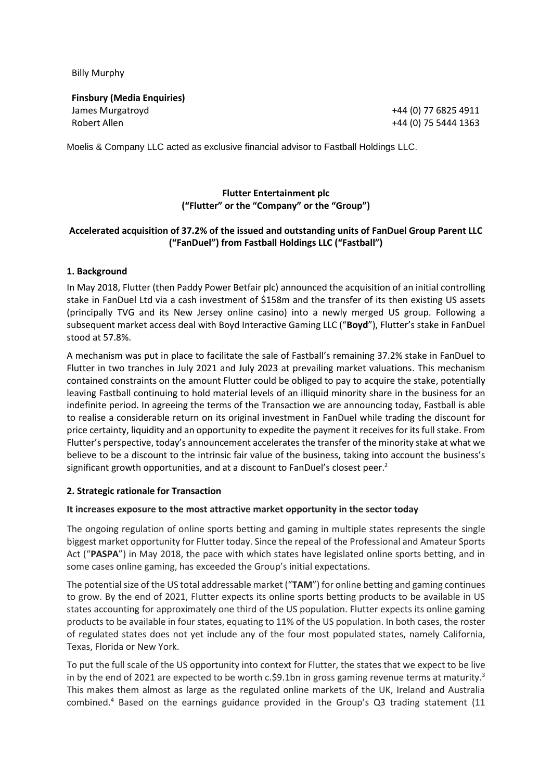Billy Murphy

**Finsbury (Media Enquiries)** James Murgatroyd Robert Allen

+44 (0) 77 6825 4911 +44 (0) 75 5444 1363

Moelis & Company LLC acted as exclusive financial advisor to Fastball Holdings LLC.

# **Flutter Entertainment plc ("Flutter" or the "Company" or the "Group")**

### **Accelerated acquisition of 37.2% of the issued and outstanding units of FanDuel Group Parent LLC ("FanDuel") from Fastball Holdings LLC ("Fastball")**

### **1. Background**

In May 2018, Flutter (then Paddy Power Betfair plc) announced the acquisition of an initial controlling stake in FanDuel Ltd via a cash investment of \$158m and the transfer of its then existing US assets (principally TVG and its New Jersey online casino) into a newly merged US group. Following a subsequent market access deal with Boyd Interactive Gaming LLC ("**Boyd**"), Flutter's stake in FanDuel stood at 57.8%.

A mechanism was put in place to facilitate the sale of Fastball's remaining 37.2% stake in FanDuel to Flutter in two tranches in July 2021 and July 2023 at prevailing market valuations. This mechanism contained constraints on the amount Flutter could be obliged to pay to acquire the stake, potentially leaving Fastball continuing to hold material levels of an illiquid minority share in the business for an indefinite period. In agreeing the terms of the Transaction we are announcing today, Fastball is able to realise a considerable return on its original investment in FanDuel while trading the discount for price certainty, liquidity and an opportunity to expedite the payment it receives for its full stake. From Flutter's perspective, today's announcement accelerates the transfer of the minority stake at what we believe to be a discount to the intrinsic fair value of the business, taking into account the business's significant growth opportunities, and at a discount to FanDuel's closest peer.<sup>2</sup>

### **2. Strategic rationale for Transaction**

### **It increases exposure to the most attractive market opportunity in the sector today**

The ongoing regulation of online sports betting and gaming in multiple states represents the single biggest market opportunity for Flutter today. Since the repeal of the Professional and Amateur Sports Act ("**PASPA**") in May 2018, the pace with which states have legislated online sports betting, and in some cases online gaming, has exceeded the Group's initial expectations.

The potential size of the US total addressable market ("**TAM**") for online betting and gaming continues to grow. By the end of 2021, Flutter expects its online sports betting products to be available in US states accounting for approximately one third of the US population. Flutter expects its online gaming products to be available in four states, equating to 11% of the US population. In both cases, the roster of regulated states does not yet include any of the four most populated states, namely California, Texas, Florida or New York.

To put the full scale of the US opportunity into context for Flutter, the states that we expect to be live in by the end of 2021 are expected to be worth c.\$9.1bn in gross gaming revenue terms at maturity.<sup>3</sup> This makes them almost as large as the regulated online markets of the UK, Ireland and Australia combined. <sup>4</sup> Based on the earnings guidance provided in the Group's Q3 trading statement (11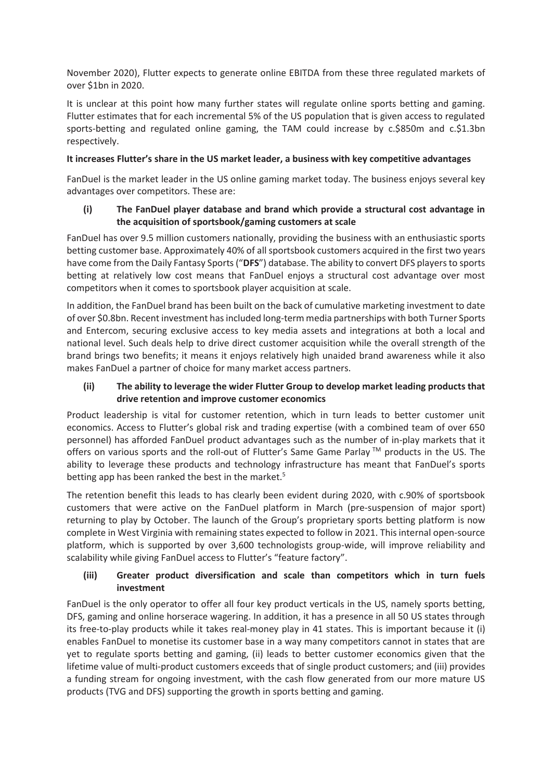November 2020), Flutter expects to generate online EBITDA from these three regulated markets of over \$1bn in 2020.

It is unclear at this point how many further states will regulate online sports betting and gaming. Flutter estimates that for each incremental 5% of the US population that is given access to regulated sports-betting and regulated online gaming, the TAM could increase by c.\$850m and c.\$1.3bn respectively.

# **It increases Flutter's share in the US market leader, a business with key competitive advantages**

FanDuel is the market leader in the US online gaming market today. The business enjoys several key advantages over competitors. These are:

# **(i) The FanDuel player database and brand which provide a structural cost advantage in the acquisition of sportsbook/gaming customers at scale**

FanDuel has over 9.5 million customers nationally, providing the business with an enthusiastic sports betting customer base. Approximately 40% of all sportsbook customers acquired in the first two years have come from the Daily Fantasy Sports ("**DFS**") database. The ability to convert DFS players to sports betting at relatively low cost means that FanDuel enjoys a structural cost advantage over most competitors when it comes to sportsbook player acquisition at scale.

In addition, the FanDuel brand has been built on the back of cumulative marketing investment to date of over \$0.8bn. Recent investment has included long-term media partnerships with both Turner Sports and Entercom, securing exclusive access to key media assets and integrations at both a local and national level. Such deals help to drive direct customer acquisition while the overall strength of the brand brings two benefits; it means it enjoys relatively high unaided brand awareness while it also makes FanDuel a partner of choice for many market access partners.

# **(ii) The ability to leverage the wider Flutter Group to develop market leading products that drive retention and improve customer economics**

Product leadership is vital for customer retention, which in turn leads to better customer unit economics. Access to Flutter's global risk and trading expertise (with a combined team of over 650 personnel) has afforded FanDuel product advantages such as the number of in-play markets that it offers on various sports and the roll-out of Flutter's Same Game Parlay TM products in the US. The ability to leverage these products and technology infrastructure has meant that FanDuel's sports betting app has been ranked the best in the market.<sup>5</sup>

The retention benefit this leads to has clearly been evident during 2020, with c.90% of sportsbook customers that were active on the FanDuel platform in March (pre-suspension of major sport) returning to play by October. The launch of the Group's proprietary sports betting platform is now complete in West Virginia with remaining states expected to follow in 2021. Thisinternal open-source platform, which is supported by over 3,600 technologists group-wide, will improve reliability and scalability while giving FanDuel access to Flutter's "feature factory".

# **(iii) Greater product diversification and scale than competitors which in turn fuels investment**

FanDuel is the only operator to offer all four key product verticals in the US, namely sports betting, DFS, gaming and online horserace wagering. In addition, it has a presence in all 50 US states through its free-to-play products while it takes real-money play in 41 states. This is important because it (i) enables FanDuel to monetise its customer base in a way many competitors cannot in states that are yet to regulate sports betting and gaming, (ii) leads to better customer economics given that the lifetime value of multi-product customers exceeds that of single product customers; and (iii) provides a funding stream for ongoing investment, with the cash flow generated from our more mature US products (TVG and DFS) supporting the growth in sports betting and gaming.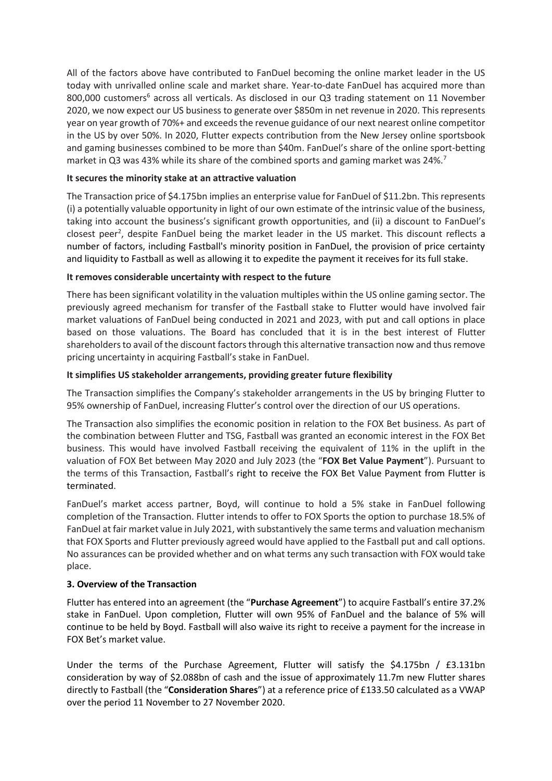All of the factors above have contributed to FanDuel becoming the online market leader in the US today with unrivalled online scale and market share. Year-to-date FanDuel has acquired more than 800,000 customers<sup>6</sup> across all verticals. As disclosed in our Q3 trading statement on 11 November 2020, we now expect our US business to generate over \$850m in net revenue in 2020. This represents year on year growth of 70%+ and exceeds the revenue guidance of our next nearest online competitor in the US by over 50%. In 2020, Flutter expects contribution from the New Jersey online sportsbook and gaming businesses combined to be more than \$40m. FanDuel's share of the online sport-betting market in Q3 was 43% while its share of the combined sports and gaming market was 24%.<sup>7</sup>

# **It secures the minority stake at an attractive valuation**

The Transaction price of \$4.175bn implies an enterprise value for FanDuel of \$11.2bn. This represents (i) a potentially valuable opportunity in light of our own estimate of the intrinsic value of the business, taking into account the business's significant growth opportunities, and (ii) a discount to FanDuel's closest peer<sup>2</sup>, despite FanDuel being the market leader in the US market. This discount reflects a number of factors, including Fastball's minority position in FanDuel, the provision of price certainty and liquidity to Fastball as well as allowing it to expedite the payment it receives for its full stake.

### **It removes considerable uncertainty with respect to the future**

There has been significant volatility in the valuation multiples within the US online gaming sector. The previously agreed mechanism for transfer of the Fastball stake to Flutter would have involved fair market valuations of FanDuel being conducted in 2021 and 2023, with put and call options in place based on those valuations. The Board has concluded that it is in the best interest of Flutter shareholders to avail of the discount factors through this alternative transaction now and thus remove pricing uncertainty in acquiring Fastball's stake in FanDuel.

### **It simplifies US stakeholder arrangements, providing greater future flexibility**

The Transaction simplifies the Company's stakeholder arrangements in the US by bringing Flutter to 95% ownership of FanDuel, increasing Flutter's control over the direction of our US operations.

The Transaction also simplifies the economic position in relation to the FOX Bet business. As part of the combination between Flutter and TSG, Fastball was granted an economic interest in the FOX Bet business. This would have involved Fastball receiving the equivalent of 11% in the uplift in the valuation of FOX Bet between May 2020 and July 2023 (the "**FOX Bet Value Payment**"). Pursuant to the terms of this Transaction, Fastball's right to receive the FOX Bet Value Payment from Flutter is terminated.

FanDuel's market access partner, Boyd, will continue to hold a 5% stake in FanDuel following completion of the Transaction. Flutter intends to offer to FOX Sports the option to purchase 18.5% of FanDuel at fair market value in July 2021, with substantively the same terms and valuation mechanism that FOX Sports and Flutter previously agreed would have applied to the Fastball put and call options. No assurances can be provided whether and on what terms any such transaction with FOX would take place.

# **3. Overview of the Transaction**

Flutter has entered into an agreement (the "**Purchase Agreement**") to acquire Fastball's entire 37.2% stake in FanDuel. Upon completion, Flutter will own 95% of FanDuel and the balance of 5% will continue to be held by Boyd. Fastball will also waive its right to receive a payment for the increase in FOX Bet's market value.

Under the terms of the Purchase Agreement, Flutter will satisfy the \$4.175bn / £3.131bn consideration by way of \$2.088bn of cash and the issue of approximately 11.7m new Flutter shares directly to Fastball (the "**Consideration Shares**") at a reference price of £133.50 calculated as a VWAP over the period 11 November to 27 November 2020.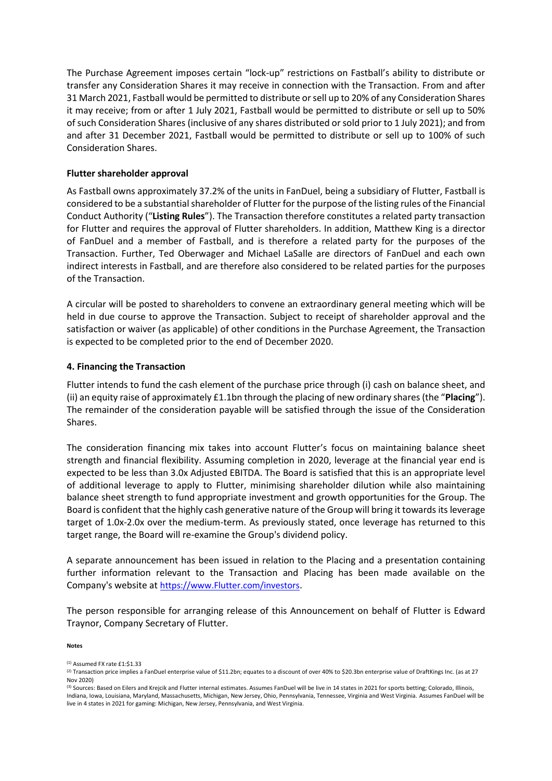The Purchase Agreement imposes certain "lock-up" restrictions on Fastball's ability to distribute or transfer any Consideration Shares it may receive in connection with the Transaction. From and after 31 March 2021, Fastball would be permitted to distribute or sell up to 20% of any Consideration Shares it may receive; from or after 1 July 2021, Fastball would be permitted to distribute or sell up to 50% of such Consideration Shares (inclusive of any shares distributed or sold prior to 1 July 2021); and from and after 31 December 2021, Fastball would be permitted to distribute or sell up to 100% of such Consideration Shares.

### **Flutter shareholder approval**

As Fastball owns approximately 37.2% of the units in FanDuel, being a subsidiary of Flutter, Fastball is considered to be a substantial shareholder of Flutter for the purpose of the listing rules of the Financial Conduct Authority ("**Listing Rules**"). The Transaction therefore constitutes a related party transaction for Flutter and requires the approval of Flutter shareholders. In addition, Matthew King is a director of FanDuel and a member of Fastball, and is therefore a related party for the purposes of the Transaction. Further, Ted Oberwager and Michael LaSalle are directors of FanDuel and each own indirect interests in Fastball, and are therefore also considered to be related parties for the purposes of the Transaction.

A circular will be posted to shareholders to convene an extraordinary general meeting which will be held in due course to approve the Transaction. Subject to receipt of shareholder approval and the satisfaction or waiver (as applicable) of other conditions in the Purchase Agreement, the Transaction is expected to be completed prior to the end of December 2020.

### **4. Financing the Transaction**

Flutter intends to fund the cash element of the purchase price through (i) cash on balance sheet, and (ii) an equity raise of approximately £1.1bn through the placing of new ordinary shares (the "**Placing**"). The remainder of the consideration payable will be satisfied through the issue of the Consideration Shares.

The consideration financing mix takes into account Flutter's focus on maintaining balance sheet strength and financial flexibility. Assuming completion in 2020, leverage at the financial year end is expected to be less than 3.0x Adjusted EBITDA. The Board is satisfied that this is an appropriate level of additional leverage to apply to Flutter, minimising shareholder dilution while also maintaining balance sheet strength to fund appropriate investment and growth opportunities for the Group. The Board is confident that the highly cash generative nature of the Group will bring it towards its leverage target of 1.0x-2.0x over the medium-term. As previously stated, once leverage has returned to this target range, the Board will re-examine the Group's dividend policy.

A separate announcement has been issued in relation to the Placing and a presentation containing further information relevant to the Transaction and Placing has been made available on the Company's website at [https://www.Flutter.com/investors](https://www.flutter.com/investors).

The person responsible for arranging release of this Announcement on behalf of Flutter is Edward Traynor, Company Secretary of Flutter.

**Notes**

<sup>(1)</sup> Assumed FX rate £1:\$1.33

<sup>(2)</sup> Transaction price implies a FanDuel enterprise value of \$11.2bn; equates to a discount of over 40% to \$20.3bn enterprise value of DraftKings Inc. (as at 27 Nov 2020)

<sup>&</sup>lt;sup>(3)</sup> Sources: Based on Eilers and Krejcik and Flutter internal estimates. Assumes FanDuel will be live in 14 states in 2021 for sports betting; Colorado, Illinois, Indiana, Iowa, Louisiana, Maryland, Massachusetts, Michigan, New Jersey, Ohio, Pennsylvania, Tennessee, Virginia and West Virginia. Assumes FanDuel will be live in 4 states in 2021 for gaming: Michigan, New Jersey, Pennsylvania, and West Virginia.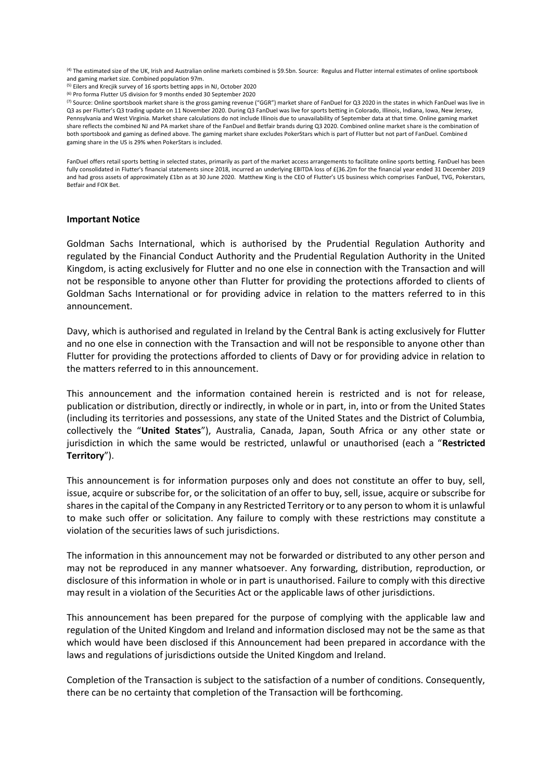<sup>(4)</sup> The estimated size of the UK, Irish and Australian online markets combined is \$9.5bn. Source: Regulus and Flutter internal estimates of online sportsbook and gaming market size. Combined population 97m.

(5) Eilers and Krecjik survey of 16 sports betting apps in NJ, October 2020

(6) Pro forma Flutter US division for 9 months ended 30 September 2020

(7) Source: Online sportsbook market share is the gross gaming revenue ("GGR") market share of FanDuel for Q3 2020 in the states in which FanDuel was live in Q3 as per Flutter's Q3 trading update on 11 November 2020. During Q3 FanDuel was live for sports betting in Colorado, Illinois, Indiana, Iowa, New Jersey, Pennsylvania and West Virginia. Market share calculations do not include Illinois due to unavailability of September data at that time. Online gaming market share reflects the combined NJ and PA market share of the FanDuel and Betfair brands during Q3 2020. Combined online market share is the combination of both sportsbook and gaming as defined above. The gaming market share excludes PokerStars which is part of Flutter but not part of FanDuel. Combined gaming share in the US is 29% when PokerStars is included.

FanDuel offers retail sports betting in selected states, primarily as part of the market access arrangements to facilitate online sports betting. FanDuel has been fully consolidated in Flutter's financial statements since 2018, incurred an underlying EBITDA loss of £(36.2)m for the financial year ended 31 December 2019 and had gross assets of approximately £1bn as at 30 June 2020. Matthew King is the CEO of Flutter's US business which comprises FanDuel, TVG, Pokerstars, Betfair and FOX Bet.

#### **Important Notice**

Goldman Sachs International, which is authorised by the Prudential Regulation Authority and regulated by the Financial Conduct Authority and the Prudential Regulation Authority in the United Kingdom, is acting exclusively for Flutter and no one else in connection with the Transaction and will not be responsible to anyone other than Flutter for providing the protections afforded to clients of Goldman Sachs International or for providing advice in relation to the matters referred to in this announcement.

Davy, which is authorised and regulated in Ireland by the Central Bank is acting exclusively for Flutter and no one else in connection with the Transaction and will not be responsible to anyone other than Flutter for providing the protections afforded to clients of Davy or for providing advice in relation to the matters referred to in this announcement.

This announcement and the information contained herein is restricted and is not for release, publication or distribution, directly or indirectly, in whole or in part, in, into or from the United States (including its territories and possessions, any state of the United States and the District of Columbia, collectively the "**United States**"), Australia, Canada, Japan, South Africa or any other state or jurisdiction in which the same would be restricted, unlawful or unauthorised (each a "**Restricted Territory**").

This announcement is for information purposes only and does not constitute an offer to buy, sell, issue, acquire or subscribe for, or the solicitation of an offer to buy, sell, issue, acquire or subscribe for shares in the capital of the Company in any Restricted Territory or to any person to whom it is unlawful to make such offer or solicitation. Any failure to comply with these restrictions may constitute a violation of the securities laws of such jurisdictions.

The information in this announcement may not be forwarded or distributed to any other person and may not be reproduced in any manner whatsoever. Any forwarding, distribution, reproduction, or disclosure of this information in whole or in part is unauthorised. Failure to comply with this directive may result in a violation of the Securities Act or the applicable laws of other jurisdictions.

This announcement has been prepared for the purpose of complying with the applicable law and regulation of the United Kingdom and Ireland and information disclosed may not be the same as that which would have been disclosed if this Announcement had been prepared in accordance with the laws and regulations of jurisdictions outside the United Kingdom and Ireland.

Completion of the Transaction is subject to the satisfaction of a number of conditions. Consequently, there can be no certainty that completion of the Transaction will be forthcoming.